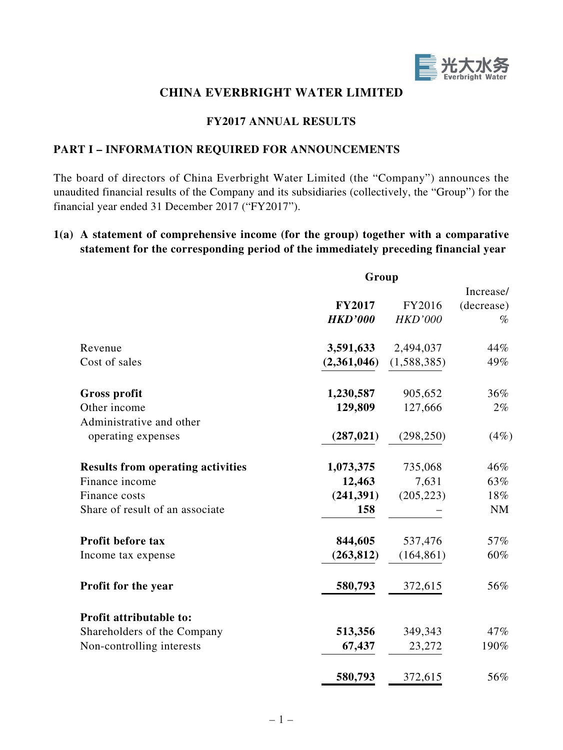

## **CHINA EVERBRIGHT WATER LIMITED**

## **FY2017 ANNUAL RESULTS**

## **PART I – INFORMATION REQUIRED FOR ANNOUNCEMENTS**

The board of directors of China Everbright Water Limited (the "Company") announces the unaudited financial results of the Company and its subsidiaries (collectively, the "Group") for the financial year ended 31 December 2017 ("FY2017").

## **1(a) A statement of comprehensive income (for the group) together with a comparative statement for the corresponding period of the immediately preceding financial year**

|                                                | Group          |                |            |
|------------------------------------------------|----------------|----------------|------------|
|                                                |                |                | Increase/  |
|                                                | <b>FY2017</b>  | FY2016         | (decrease) |
|                                                | <b>HKD'000</b> | <b>HKD'000</b> | $\%$       |
| Revenue                                        | 3,591,633      | 2,494,037      | 44%        |
| Cost of sales                                  | (2,361,046)    | (1,588,385)    | 49%        |
| <b>Gross profit</b>                            | 1,230,587      | 905,652        | 36%        |
| Other income                                   | 129,809        | 127,666        | 2%         |
| Administrative and other<br>operating expenses | (287, 021)     | (298, 250)     | (4%)       |
| <b>Results from operating activities</b>       | 1,073,375      | 735,068        | 46%        |
| Finance income                                 | 12,463         | 7,631          | 63%        |
| Finance costs                                  | (241, 391)     | (205, 223)     | 18%        |
| Share of result of an associate                | 158            |                | <b>NM</b>  |
| <b>Profit before tax</b>                       | 844,605        | 537,476        | 57%        |
| Income tax expense                             | (263, 812)     | (164, 861)     | 60%        |
| Profit for the year                            | 580,793        | 372,615        | 56%        |
| Profit attributable to:                        |                |                |            |
| Shareholders of the Company                    | 513,356        | 349,343        | 47%        |
| Non-controlling interests                      | 67,437         | 23,272         | 190%       |
|                                                | 580,793        | 372,615        | 56%        |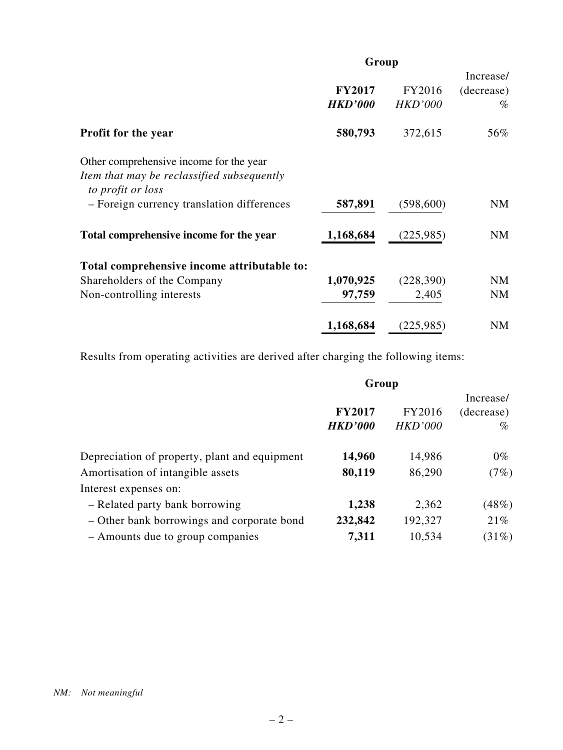|                                                                                                            | Group                           |                          |                                 |  |
|------------------------------------------------------------------------------------------------------------|---------------------------------|--------------------------|---------------------------------|--|
|                                                                                                            | <b>FY2017</b><br><b>HKD'000</b> | FY2016<br><b>HKD'000</b> | Increase/<br>(decrease)<br>$\%$ |  |
| <b>Profit for the year</b>                                                                                 | 580,793                         | 372,615                  | 56%                             |  |
| Other comprehensive income for the year<br>Item that may be reclassified subsequently<br>to profit or loss |                                 |                          |                                 |  |
| - Foreign currency translation differences                                                                 | 587,891                         | (598,600)                | NM                              |  |
| Total comprehensive income for the year                                                                    | 1,168,684                       | (225, 985)               | <b>NM</b>                       |  |
| Total comprehensive income attributable to:                                                                |                                 |                          |                                 |  |
| Shareholders of the Company                                                                                | 1,070,925                       | (228, 390)               | <b>NM</b>                       |  |
| Non-controlling interests                                                                                  | 97,759                          | 2,405                    | <b>NM</b>                       |  |
|                                                                                                            | 1,168,684                       | (225, 985)               | <b>NM</b>                       |  |

Results from operating activities are derived after charging the following items:

|                                               | Group          |                |            |  |
|-----------------------------------------------|----------------|----------------|------------|--|
|                                               |                |                |            |  |
|                                               | <b>FY2017</b>  | FY2016         | (decrease) |  |
|                                               | <b>HKD'000</b> | <b>HKD'000</b> | $\%$       |  |
| Depreciation of property, plant and equipment | 14,960         | 14,986         | $0\%$      |  |
| Amortisation of intangible assets             | 80,119         | 86,290         | (7%)       |  |
| Interest expenses on:                         |                |                |            |  |
| - Related party bank borrowing                | 1,238          | 2,362          | (48%)      |  |
| – Other bank borrowings and corporate bond    | 232,842        | 192,327        | 21%        |  |
| - Amounts due to group companies              | 7,311          | 10,534         | (31%)      |  |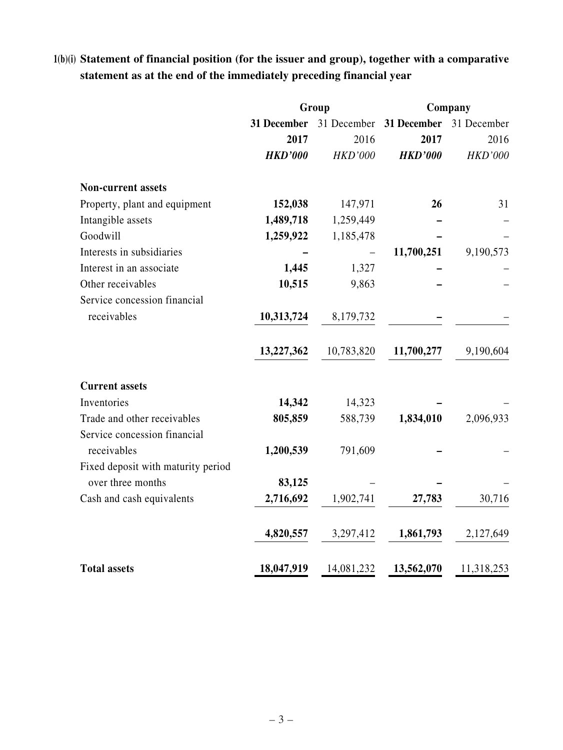# **1(b)(i) Statement of financial position (for the issuer and group), together with a comparative statement as at the end of the immediately preceding financial year**

|                                    |                | Group          | Company                             |                |  |
|------------------------------------|----------------|----------------|-------------------------------------|----------------|--|
|                                    | 31 December    |                | 31 December 31 December 31 December |                |  |
|                                    | 2017           | 2016           | 2017                                | 2016           |  |
|                                    | <b>HKD'000</b> | <b>HKD'000</b> | <b>HKD'000</b>                      | <b>HKD'000</b> |  |
| <b>Non-current assets</b>          |                |                |                                     |                |  |
| Property, plant and equipment      | 152,038        | 147,971        | 26                                  | 31             |  |
| Intangible assets                  | 1,489,718      | 1,259,449      |                                     |                |  |
| Goodwill                           | 1,259,922      | 1,185,478      |                                     |                |  |
| Interests in subsidiaries          |                |                | 11,700,251                          | 9,190,573      |  |
| Interest in an associate           | 1,445          | 1,327          |                                     |                |  |
| Other receivables                  | 10,515         | 9,863          |                                     |                |  |
| Service concession financial       |                |                |                                     |                |  |
| receivables                        | 10,313,724     | 8,179,732      |                                     |                |  |
|                                    | 13,227,362     | 10,783,820     | 11,700,277                          | 9,190,604      |  |
| <b>Current assets</b>              |                |                |                                     |                |  |
| Inventories                        | 14,342         | 14,323         |                                     |                |  |
| Trade and other receivables        | 805,859        | 588,739        | 1,834,010                           | 2,096,933      |  |
| Service concession financial       |                |                |                                     |                |  |
| receivables                        | 1,200,539      | 791,609        |                                     |                |  |
| Fixed deposit with maturity period |                |                |                                     |                |  |
| over three months                  | 83,125         |                |                                     |                |  |
| Cash and cash equivalents          | 2,716,692      | 1,902,741      | 27,783                              | 30,716         |  |
|                                    | 4,820,557      | 3,297,412      | 1,861,793                           | 2,127,649      |  |
| <b>Total assets</b>                | 18,047,919     | 14,081,232     | 13,562,070                          | 11,318,253     |  |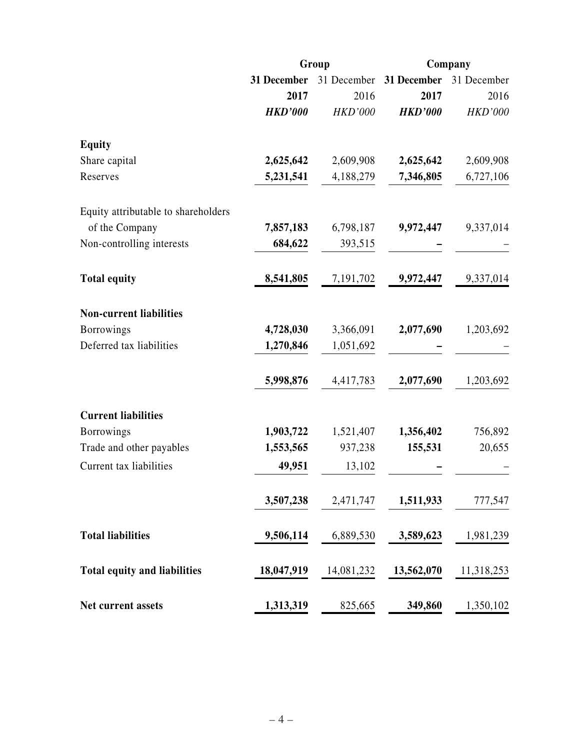|                                     |                | Group          | Company        |                |  |
|-------------------------------------|----------------|----------------|----------------|----------------|--|
|                                     | 31 December    | 31 December    | 31 December    | 31 December    |  |
|                                     | 2017           | 2016           | 2017           | 2016           |  |
|                                     | <b>HKD'000</b> | <b>HKD'000</b> | <b>HKD'000</b> | <b>HKD'000</b> |  |
| <b>Equity</b>                       |                |                |                |                |  |
| Share capital                       | 2,625,642      | 2,609,908      | 2,625,642      | 2,609,908      |  |
| Reserves                            | 5,231,541      | 4,188,279      | 7,346,805      | 6,727,106      |  |
| Equity attributable to shareholders |                |                |                |                |  |
| of the Company                      | 7,857,183      | 6,798,187      | 9,972,447      | 9,337,014      |  |
| Non-controlling interests           | 684,622        | 393,515        |                |                |  |
| <b>Total equity</b>                 | 8,541,805      | 7,191,702      | 9,972,447      | 9,337,014      |  |
| <b>Non-current liabilities</b>      |                |                |                |                |  |
| <b>Borrowings</b>                   | 4,728,030      | 3,366,091      | 2,077,690      | 1,203,692      |  |
| Deferred tax liabilities            | 1,270,846      | 1,051,692      |                |                |  |
|                                     | 5,998,876      | 4,417,783      | 2,077,690      | 1,203,692      |  |
| <b>Current liabilities</b>          |                |                |                |                |  |
| <b>Borrowings</b>                   | 1,903,722      | 1,521,407      | 1,356,402      | 756,892        |  |
| Trade and other payables            | 1,553,565      | 937,238        | 155,531        | 20,655         |  |
| Current tax liabilities             | 49,951         | 13,102         |                |                |  |
|                                     | 3,507,238      | 2,471,747      | 1,511,933      | 777,547        |  |
| <b>Total liabilities</b>            | 9,506,114      | 6,889,530      | 3,589,623      | 1,981,239      |  |
| <b>Total equity and liabilities</b> | 18,047,919     | 14,081,232     | 13,562,070     | 11,318,253     |  |
| <b>Net current assets</b>           | 1,313,319      | 825,665        | 349,860        | 1,350,102      |  |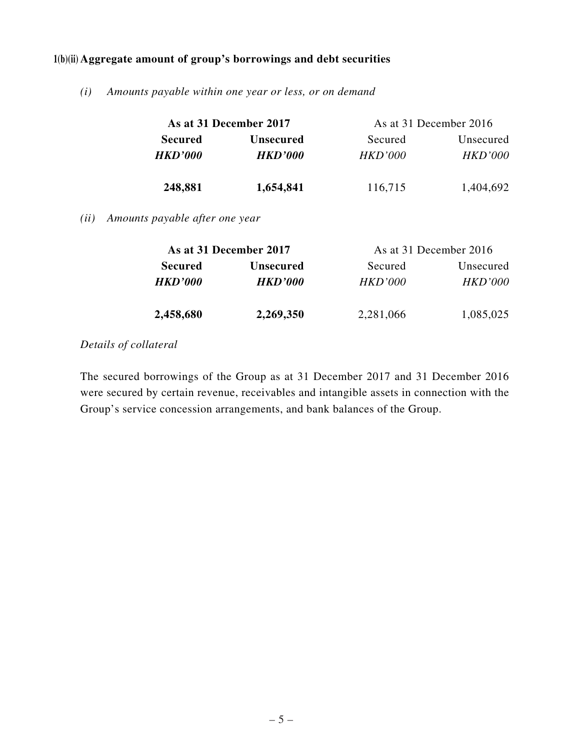## **1(b)(ii) Aggregate amount of group's borrowings and debt securities**

*(i) Amounts payable within one year or less, or on demand*

|                | As at 31 December 2017 | As at 31 December 2016 |                |  |  |
|----------------|------------------------|------------------------|----------------|--|--|
| <b>Secured</b> | <b>Unsecured</b>       | Secured                | Unsecured      |  |  |
| <b>HKD'000</b> | <i><b>HKD'000</b></i>  | <i>HKD'000</i>         | <i>HKD'000</i> |  |  |
| 248,881        | 1,654,841              | 116,715                | 1,404,692      |  |  |

*(ii) Amounts payable after one year*

|                | As at 31 December 2017 | As at 31 December 2016 |                |  |  |
|----------------|------------------------|------------------------|----------------|--|--|
| <b>Secured</b> | <b>Unsecured</b>       | Secured                | Unsecured      |  |  |
| <b>HKD'000</b> | <b>HKD'000</b>         | HKD'000                | <b>HKD'000</b> |  |  |
| 2,458,680      | 2,269,350              | 2,281,066              | 1,085,025      |  |  |

## *Details of collateral*

The secured borrowings of the Group as at 31 December 2017 and 31 December 2016 were secured by certain revenue, receivables and intangible assets in connection with the Group's service concession arrangements, and bank balances of the Group.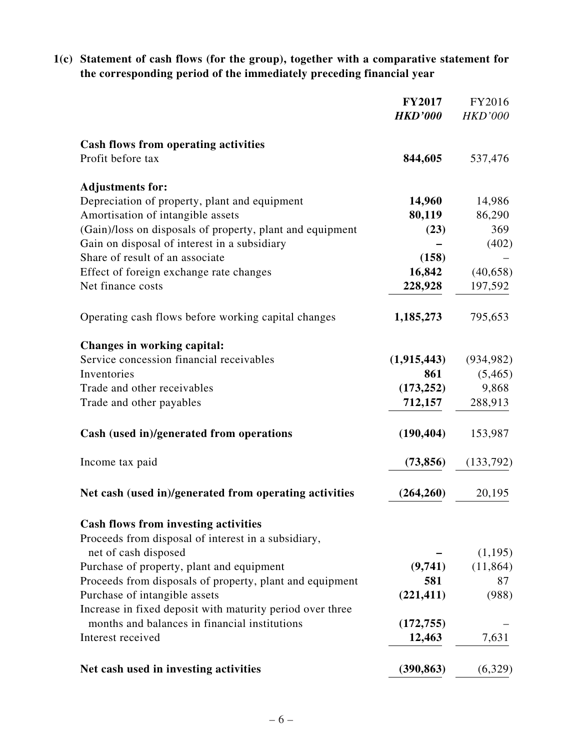**1(c) Statement of cash flows (for the group), together with a comparative statement for the corresponding period of the immediately preceding financial year**

|                                                           | <b>FY2017</b><br><b>HKD'000</b> | FY2016<br><b>HKD'000</b> |
|-----------------------------------------------------------|---------------------------------|--------------------------|
| <b>Cash flows from operating activities</b>               |                                 |                          |
| Profit before tax                                         | 844,605                         | 537,476                  |
| <b>Adjustments for:</b>                                   |                                 |                          |
| Depreciation of property, plant and equipment             | 14,960                          | 14,986                   |
| Amortisation of intangible assets                         | 80,119                          | 86,290                   |
| (Gain)/loss on disposals of property, plant and equipment | (23)                            | 369                      |
| Gain on disposal of interest in a subsidiary              |                                 | (402)                    |
| Share of result of an associate                           | (158)                           |                          |
| Effect of foreign exchange rate changes                   | 16,842                          | (40, 658)                |
| Net finance costs                                         | 228,928                         | 197,592                  |
| Operating cash flows before working capital changes       | 1,185,273                       | 795,653                  |
| Changes in working capital:                               |                                 |                          |
| Service concession financial receivables                  | (1,915,443)                     | (934, 982)               |
| Inventories                                               | 861                             | (5,465)                  |
| Trade and other receivables                               | (173, 252)                      | 9,868                    |
| Trade and other payables                                  | 712,157                         | 288,913                  |
| Cash (used in)/generated from operations                  | (190, 404)                      | 153,987                  |
| Income tax paid                                           | (73, 856)                       | (133,792)                |
| Net cash (used in)/generated from operating activities    | (264, 260)                      | 20,195                   |
| <b>Cash flows from investing activities</b>               |                                 |                          |
| Proceeds from disposal of interest in a subsidiary,       |                                 |                          |
| net of cash disposed                                      |                                 | (1,195)                  |
| Purchase of property, plant and equipment                 | (9,741)                         | (11, 864)                |
| Proceeds from disposals of property, plant and equipment  | 581                             | 87                       |
| Purchase of intangible assets                             | (221, 411)                      | (988)                    |
| Increase in fixed deposit with maturity period over three |                                 |                          |
| months and balances in financial institutions             | (172, 755)                      |                          |
| Interest received                                         | 12,463                          | 7,631                    |
| Net cash used in investing activities                     | (390, 863)                      | (6,329)                  |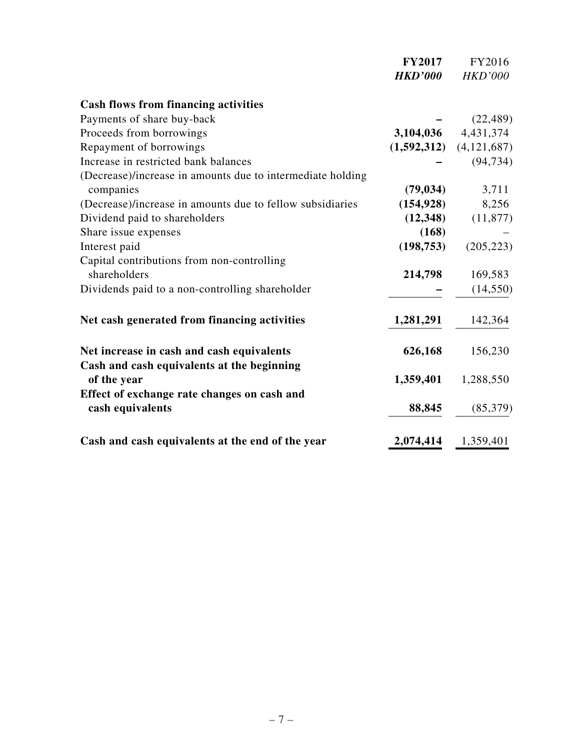|                                                                 | <b>FY2017</b>  | FY2016                      |
|-----------------------------------------------------------------|----------------|-----------------------------|
|                                                                 | <b>HKD'000</b> | <b>HKD'000</b>              |
| <b>Cash flows from financing activities</b>                     |                |                             |
| Payments of share buy-back                                      |                | (22, 489)                   |
| Proceeds from borrowings                                        |                | 3,104,036 4,431,374         |
| Repayment of borrowings                                         |                | $(1,592,312)$ $(4,121,687)$ |
| Increase in restricted bank balances                            |                | (94, 734)                   |
| (Decrease)/increase in amounts due to intermediate holding      |                |                             |
| companies                                                       | (79, 034)      | 3,711                       |
| (Decrease)/increase in amounts due to fellow subsidiaries       | (154, 928)     | 8,256                       |
| Dividend paid to shareholders                                   | (12, 348)      | (11, 877)                   |
| Share issue expenses                                            | (168)          |                             |
| Interest paid                                                   | (198, 753)     | (205, 223)                  |
| Capital contributions from non-controlling                      |                |                             |
| shareholders                                                    | 214,798        | 169,583                     |
| Dividends paid to a non-controlling shareholder                 |                | (14, 550)                   |
| Net cash generated from financing activities                    | 1,281,291      | 142,364                     |
| Net increase in cash and cash equivalents                       | 626,168        | 156,230                     |
| Cash and cash equivalents at the beginning<br>of the year       | 1,359,401      | 1,288,550                   |
| Effect of exchange rate changes on cash and<br>cash equivalents | 88,845         | (85,379)                    |
| Cash and cash equivalents at the end of the year                | 2,074,414      | 1,359,401                   |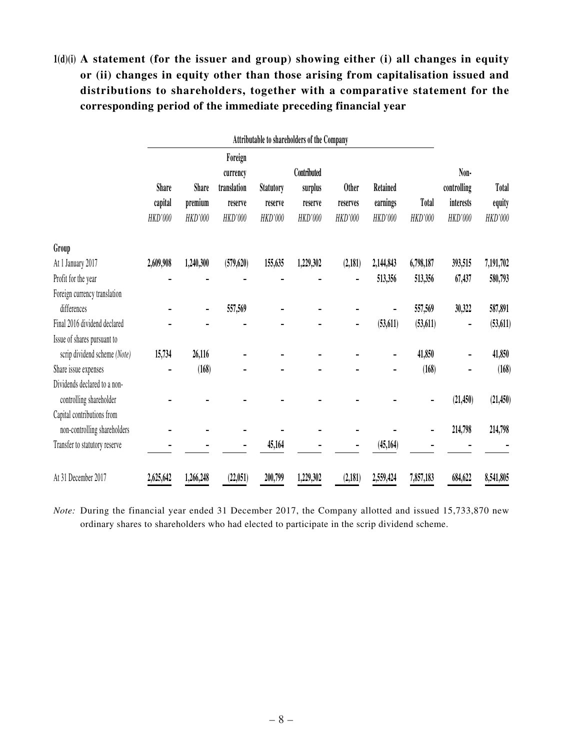# **1(d)(i) A statement (for the issuer and group) showing either (i) all changes in equity or (ii) changes in equity other than those arising from capitalisation issued and distributions to shareholders, together with a comparative statement for the corresponding period of the immediate preceding financial year**

|                                                            | Attributable to shareholders of the Company |              |                     |                  |             |              |           |              |             |              |
|------------------------------------------------------------|---------------------------------------------|--------------|---------------------|------------------|-------------|--------------|-----------|--------------|-------------|--------------|
|                                                            |                                             |              | Foreign<br>currency |                  | Contributed |              |           |              | Non-        |              |
|                                                            | <b>Share</b>                                | <b>Share</b> | translation         | <b>Statutory</b> | surplus     | <b>Other</b> | Retained  |              | controlling | <b>Total</b> |
|                                                            | capital                                     | premium      | reserve             | reserve          | reserve     | reserves     | earnings  | <b>Total</b> | interests   | equity       |
|                                                            | HKD'000                                     | HKD'000      | HKD'000             | HKD'000          | HKD'000     | HKD'000      | HKD'000   | HKD'000      | HKD'000     | HKD'000      |
| Group                                                      |                                             |              |                     |                  |             |              |           |              |             |              |
| At 1 January 2017                                          | 2,609,908                                   | 1,240,300    | (579, 620)          | 155,635          | 1,229,302   | (2,181)      | 2,144,843 | 6,798,187    | 393,515     | 7,191,702    |
| Profit for the year                                        |                                             |              |                     |                  |             |              | 513,356   | 513,356      | 67,437      | 580,793      |
| Foreign currency translation                               |                                             |              |                     |                  |             |              |           |              |             |              |
| differences                                                |                                             |              | 557,569             |                  |             |              |           | 557,569      | 30,322      | 587,891      |
| Final 2016 dividend declared                               |                                             |              |                     |                  |             |              | (53, 611) | (53, 611)    |             | (53, 611)    |
| Issue of shares pursuant to                                |                                             |              |                     |                  |             |              |           |              |             |              |
| scrip dividend scheme (Note)                               | 15,734                                      | 26,116       |                     |                  |             |              |           | 41,850       |             | 41,850       |
| Share issue expenses                                       |                                             | (168)        |                     |                  |             |              |           | (168)        |             | (168)        |
| Dividends declared to a non-<br>controlling shareholder    |                                             |              |                     |                  |             |              |           |              | (21, 450)   | (21, 450)    |
| Capital contributions from<br>non-controlling shareholders |                                             |              |                     |                  |             |              |           |              | 214,798     | 214,798      |
| Transfer to statutory reserve                              |                                             |              |                     | 45,164           |             |              | (45, 164) |              |             |              |
| At 31 December 2017                                        | 2,625,642                                   | 1,266,248    | (22,051)            | 200,799          | 1,229,302   | (2,181)      | 2,559,424 | 7,857,183    | 684,622     | 8,541,805    |

*Note:* During the financial year ended 31 December 2017, the Company allotted and issued 15,733,870 new ordinary shares to shareholders who had elected to participate in the scrip dividend scheme.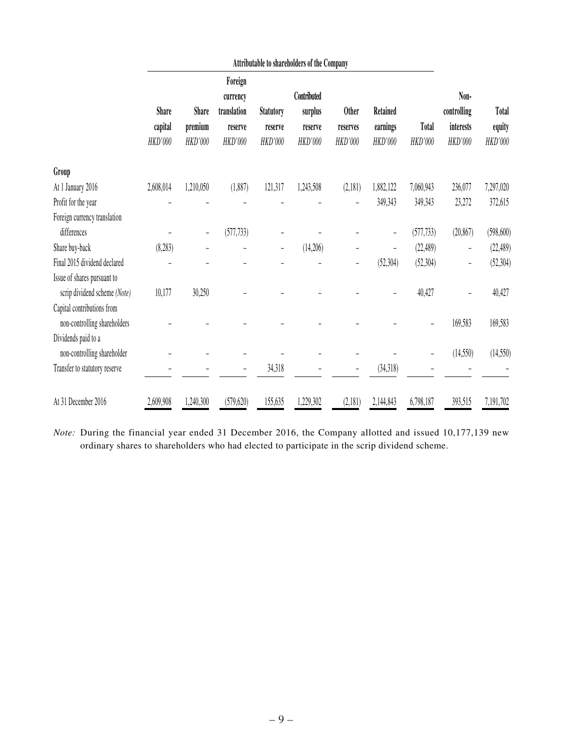|                                                            | Attributable to shareholders of the Company |                         |                                               |                             |                                   |                          |                          |              |                                  |                        |
|------------------------------------------------------------|---------------------------------------------|-------------------------|-----------------------------------------------|-----------------------------|-----------------------------------|--------------------------|--------------------------|--------------|----------------------------------|------------------------|
|                                                            | <b>Share</b><br>capital                     | <b>Share</b><br>premium | Foreign<br>currency<br>translation<br>reserve | <b>Statutory</b><br>reserve | Contributed<br>surplus<br>reserve | <b>Other</b><br>reserves | Retained<br>earnings     | <b>Total</b> | Non-<br>controlling<br>interests | <b>Total</b><br>equity |
|                                                            | HKD'000                                     | HKD'000                 | HKD'000                                       | HKD'000                     | HKD'000                           | HKD'000                  | HKD'000                  | HKD'000      | HKD'000                          | HKD'000                |
| Group                                                      |                                             |                         |                                               |                             |                                   |                          |                          |              |                                  |                        |
| At 1 January 2016                                          | 2,608,014                                   | 1,210,050               | (1,887)                                       | 121,317                     | 1,243,508                         | (2,181)                  | 1,882,122                | 7,060,943    | 236,077                          | 7,297,020              |
| Profit for the year                                        |                                             |                         |                                               |                             |                                   |                          | 349,343                  | 349,343      | 23,272                           | 372,615                |
| Foreign currency translation                               |                                             |                         |                                               |                             |                                   |                          |                          |              |                                  |                        |
| differences                                                |                                             | -                       | (577, 733)                                    |                             |                                   |                          | $\qquad \qquad -$        | (577, 733)   | (20, 867)                        | (598, 600)             |
| Share buy-back                                             | (8, 283)                                    |                         |                                               | $\qquad \qquad -$           | (14,206)                          |                          | $\overline{\phantom{0}}$ | (22, 489)    | -                                | (22, 489)              |
| Final 2015 dividend declared                               |                                             |                         |                                               |                             |                                   | $\qquad \qquad -$        | (52, 304)                | (52, 304)    | -                                | (52, 304)              |
| Issue of shares pursuant to                                |                                             |                         |                                               |                             |                                   |                          |                          |              |                                  |                        |
| scrip dividend scheme (Note)                               | 10,177                                      | 30,250                  |                                               |                             |                                   |                          |                          | 40,427       |                                  | 40,427                 |
| Capital contributions from<br>non-controlling shareholders |                                             |                         |                                               |                             |                                   |                          |                          |              | 169,583                          | 169,583                |
| Dividends paid to a                                        |                                             |                         |                                               |                             |                                   |                          |                          |              |                                  |                        |
| non-controlling shareholder                                |                                             |                         |                                               |                             |                                   |                          |                          |              | (14, 550)                        | (14,550)               |
| Transfer to statutory reserve                              |                                             |                         | $\qquad \qquad -$                             | 34,318                      |                                   |                          | (34,318)                 |              |                                  |                        |
| At 31 December 2016                                        | 2,609,908                                   | 1,240,300               | (579, 620)                                    | 155,635                     | 1,229,302                         | (2,181)                  | 2,144,843                | 6,798,187    | 393,515                          | 7,191,702              |

*Note:* During the financial year ended 31 December 2016, the Company allotted and issued 10,177,139 new ordinary shares to shareholders who had elected to participate in the scrip dividend scheme.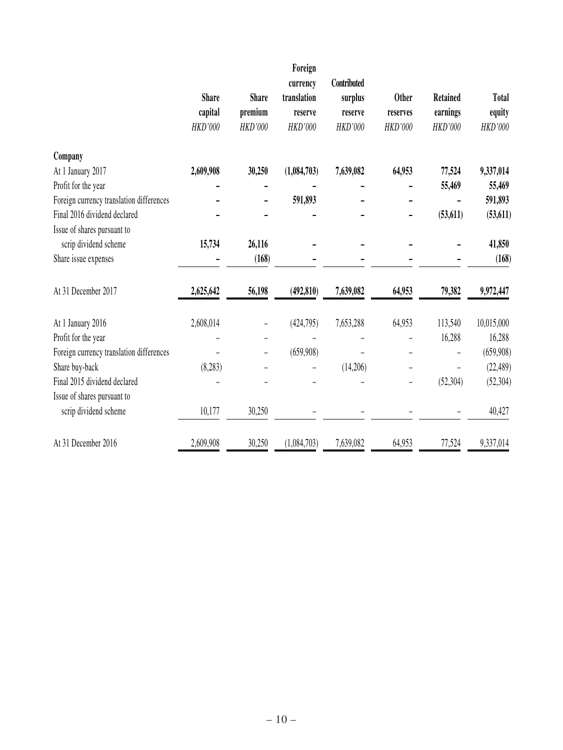|                                          |              |              | Foreign        |                |                |                 |            |
|------------------------------------------|--------------|--------------|----------------|----------------|----------------|-----------------|------------|
|                                          |              |              | currency       | Contributed    |                |                 |            |
|                                          | <b>Share</b> | <b>Share</b> | translation    | surplus        | <b>Other</b>   | <b>Retained</b> | Total      |
|                                          | capital      | premium      | reserve        | reserve        | reserves       | earnings        | equity     |
|                                          | HKD'000      | HKD'000      | <b>HKD'000</b> | <b>HKD'000</b> | <b>HKD'000</b> | HKD'000         | HKD'000    |
| Company                                  |              |              |                |                |                |                 |            |
| At 1 January 2017                        | 2,609,908    | 30,250       | (1,084,703)    | 7,639,082      | 64,953         | 77,524          | 9,337,014  |
| Profit for the year                      |              |              |                |                |                | 55,469          | 55,469     |
| Foreign currency translation differences |              |              | 591,893        |                |                |                 | 591,893    |
| Final 2016 dividend declared             |              |              |                |                |                | (53, 611)       | (53, 611)  |
| Issue of shares pursuant to              |              |              |                |                |                |                 |            |
| scrip dividend scheme                    | 15,734       | 26,116       |                |                |                |                 | 41,850     |
| Share issue expenses                     |              | (168)        |                |                |                |                 | (168)      |
| At 31 December 2017                      | 2,625,642    | 56,198       | (492, 810)     | 7,639,082      | 64,953         | 79,382          | 9,972,447  |
| At 1 January 2016                        | 2,608,014    |              | (424,795)      | 7,653,288      | 64,953         | 113,540         | 10,015,000 |
| Profit for the year                      |              |              |                |                |                | 16,288          | 16,288     |
| Foreign currency translation differences |              |              | (659,908)      |                |                |                 | (659,908)  |
| Share buy-back                           | (8,283)      |              |                | (14,206)       |                |                 | (22, 489)  |
| Final 2015 dividend declared             |              |              |                |                |                | (52, 304)       | (52, 304)  |
| Issue of shares pursuant to              |              |              |                |                |                |                 |            |
| scrip dividend scheme                    | 10,177       | 30,250       |                |                |                |                 | 40,427     |
| At 31 December 2016                      | 2,609,908    | 30,250       | (1,084,703)    | 7,639,082      | 64,953         | 77,524          | 9,337,014  |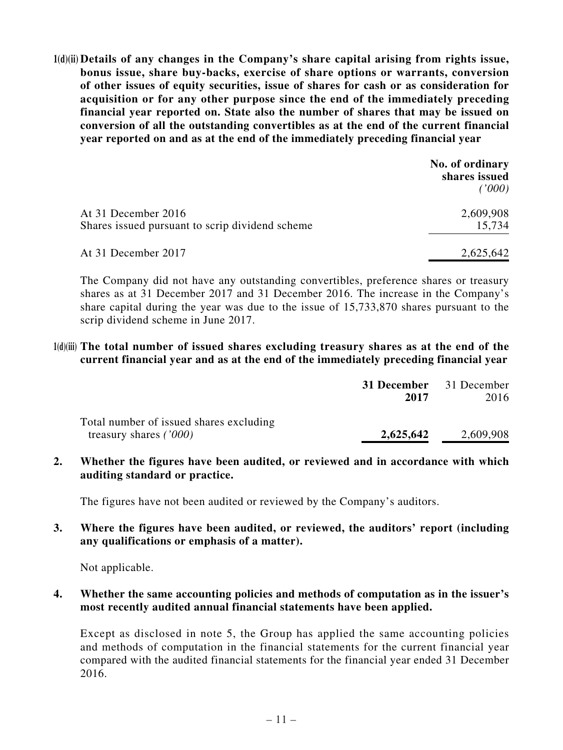**1(d)(ii) Details of any changes in the Company's share capital arising from rights issue, bonus issue, share buy-backs, exercise of share options or warrants, conversion of other issues of equity securities, issue of shares for cash or as consideration for acquisition or for any other purpose since the end of the immediately preceding financial year reported on. State also the number of shares that may be issued on conversion of all the outstanding convertibles as at the end of the current financial year reported on and as at the end of the immediately preceding financial year**

|                                                                        | No. of ordinary<br>shares issued<br>('000) |
|------------------------------------------------------------------------|--------------------------------------------|
| At 31 December 2016<br>Shares issued pursuant to scrip dividend scheme | 2,609,908<br>15,734                        |
| At 31 December 2017                                                    | 2,625,642                                  |

The Company did not have any outstanding convertibles, preference shares or treasury shares as at 31 December 2017 and 31 December 2016. The increase in the Company's share capital during the year was due to the issue of 15,733,870 shares pursuant to the scrip dividend scheme in June 2017.

#### **1(d)(iii) The total number of issued shares excluding treasury shares as at the end of the current financial year and as at the end of the immediately preceding financial year**

|                                                                     | <b>31 December</b> 31 December<br>2017 | 2016      |
|---------------------------------------------------------------------|----------------------------------------|-----------|
| Total number of issued shares excluding<br>treasury shares $(7000)$ | 2,625,642                              | 2,609,908 |

**2. Whether the figures have been audited, or reviewed and in accordance with which auditing standard or practice.**

The figures have not been audited or reviewed by the Company's auditors.

**3. Where the figures have been audited, or reviewed, the auditors' report (including any qualifications or emphasis of a matter).**

Not applicable.

## **4. Whether the same accounting policies and methods of computation as in the issuer's most recently audited annual financial statements have been applied.**

Except as disclosed in note 5, the Group has applied the same accounting policies and methods of computation in the financial statements for the current financial year compared with the audited financial statements for the financial year ended 31 December 2016.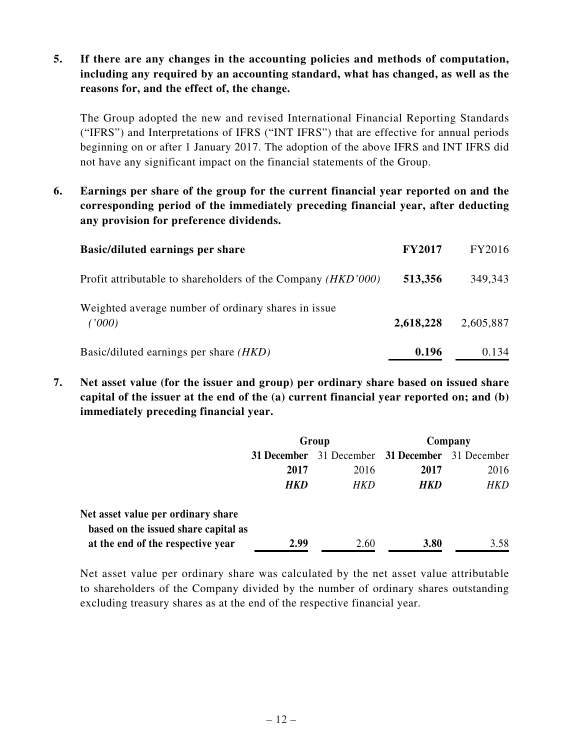## **5. If there are any changes in the accounting policies and methods of computation, including any required by an accounting standard, what has changed, as well as the reasons for, and the effect of, the change.**

The Group adopted the new and revised International Financial Reporting Standards ("IFRS") and Interpretations of IFRS ("INT IFRS") that are effective for annual periods beginning on or after 1 January 2017. The adoption of the above IFRS and INT IFRS did not have any significant impact on the financial statements of the Group.

**6. Earnings per share of the group for the current financial year reported on and the corresponding period of the immediately preceding financial year, after deducting any provision for preference dividends.**

| <b>Basic/diluted earnings per share</b>                               | <b>FY2017</b> | FY2016    |
|-----------------------------------------------------------------------|---------------|-----------|
| Profit attributable to shareholders of the Company ( <i>HKD</i> '000) | 513,356       | 349,343   |
| Weighted average number of ordinary shares in issue.<br>(1000)        | 2,618,228     | 2,605,887 |
| Basic/diluted earnings per share <i>(HKD)</i>                         | 0.196         | 0.134     |

**7. Net asset value (for the issuer and group) per ordinary share based on issued share capital of the issuer at the end of the (a) current financial year reported on; and (b) immediately preceding financial year.**

|                                                                            | Group       |             | Company     |             |
|----------------------------------------------------------------------------|-------------|-------------|-------------|-------------|
|                                                                            | 31 December | 31 December | 31 December | 31 December |
|                                                                            | 2017        | 2016        | 2017        | 2016        |
|                                                                            | <b>HKD</b>  | HKD         | HKD         | HKD         |
| Net asset value per ordinary share<br>based on the issued share capital as |             |             |             |             |
| at the end of the respective year                                          | 2.99        | 2.60        | 3.80        | 3.58        |

Net asset value per ordinary share was calculated by the net asset value attributable to shareholders of the Company divided by the number of ordinary shares outstanding excluding treasury shares as at the end of the respective financial year.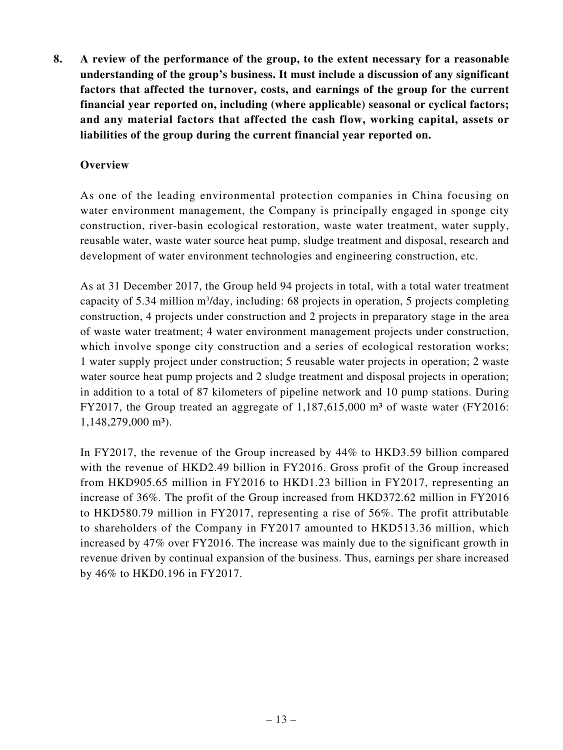**8. A review of the performance of the group, to the extent necessary for a reasonable understanding of the group's business. It must include a discussion of any significant factors that affected the turnover, costs, and earnings of the group for the current financial year reported on, including (where applicable) seasonal or cyclical factors; and any material factors that affected the cash flow, working capital, assets or liabilities of the group during the current financial year reported on.**

## **Overview**

As one of the leading environmental protection companies in China focusing on water environment management, the Company is principally engaged in sponge city construction, river-basin ecological restoration, waste water treatment, water supply, reusable water, waste water source heat pump, sludge treatment and disposal, research and development of water environment technologies and engineering construction, etc.

As at 31 December 2017, the Group held 94 projects in total, with a total water treatment capacity of 5.34 million  $m^3$ /day, including: 68 projects in operation, 5 projects completing construction, 4 projects under construction and 2 projects in preparatory stage in the area of waste water treatment; 4 water environment management projects under construction, which involve sponge city construction and a series of ecological restoration works; 1 water supply project under construction; 5 reusable water projects in operation; 2 waste water source heat pump projects and 2 sludge treatment and disposal projects in operation; in addition to a total of 87 kilometers of pipeline network and 10 pump stations. During FY2017, the Group treated an aggregate of  $1,187,615,000$  m<sup>3</sup> of waste water (FY2016: 1,148,279,000 m<sup>3</sup>).

In FY2017, the revenue of the Group increased by 44% to HKD3.59 billion compared with the revenue of HKD2.49 billion in FY2016. Gross profit of the Group increased from HKD905.65 million in FY2016 to HKD1.23 billion in FY2017, representing an increase of 36%. The profit of the Group increased from HKD372.62 million in FY2016 to HKD580.79 million in FY2017, representing a rise of 56%. The profit attributable to shareholders of the Company in FY2017 amounted to HKD513.36 million, which increased by 47% over FY2016. The increase was mainly due to the significant growth in revenue driven by continual expansion of the business. Thus, earnings per share increased by 46% to HKD0.196 in FY2017.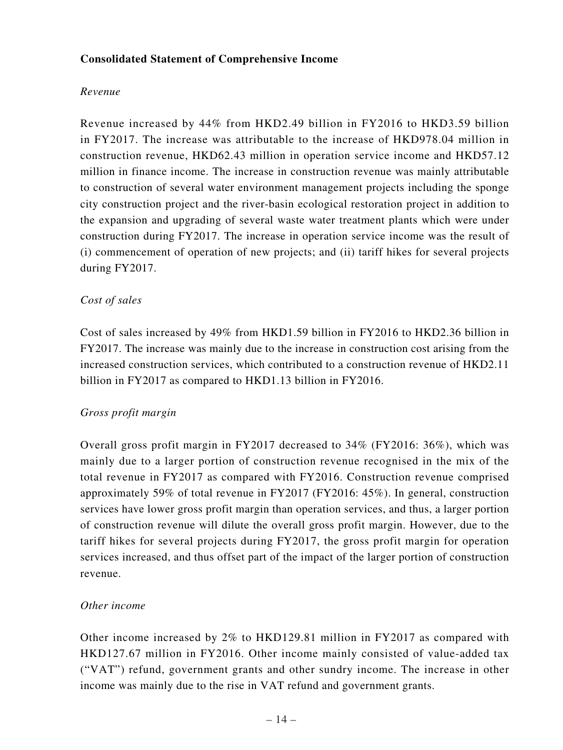## **Consolidated Statement of Comprehensive Income**

## *Revenue*

Revenue increased by 44% from HKD2.49 billion in FY2016 to HKD3.59 billion in FY2017. The increase was attributable to the increase of HKD978.04 million in construction revenue, HKD62.43 million in operation service income and HKD57.12 million in finance income. The increase in construction revenue was mainly attributable to construction of several water environment management projects including the sponge city construction project and the river-basin ecological restoration project in addition to the expansion and upgrading of several waste water treatment plants which were under construction during FY2017. The increase in operation service income was the result of (i) commencement of operation of new projects; and (ii) tariff hikes for several projects during FY2017.

## *Cost of sales*

Cost of sales increased by 49% from HKD1.59 billion in FY2016 to HKD2.36 billion in FY2017. The increase was mainly due to the increase in construction cost arising from the increased construction services, which contributed to a construction revenue of HKD2.11 billion in FY2017 as compared to HKD1.13 billion in FY2016.

## *Gross profit margin*

Overall gross profit margin in FY2017 decreased to 34% (FY2016: 36%), which was mainly due to a larger portion of construction revenue recognised in the mix of the total revenue in FY2017 as compared with FY2016. Construction revenue comprised approximately 59% of total revenue in FY2017 (FY2016: 45%). In general, construction services have lower gross profit margin than operation services, and thus, a larger portion of construction revenue will dilute the overall gross profit margin. However, due to the tariff hikes for several projects during FY2017, the gross profit margin for operation services increased, and thus offset part of the impact of the larger portion of construction revenue.

## *Other income*

Other income increased by 2% to HKD129.81 million in FY2017 as compared with HKD127.67 million in FY2016. Other income mainly consisted of value-added tax ("VAT") refund, government grants and other sundry income. The increase in other income was mainly due to the rise in VAT refund and government grants.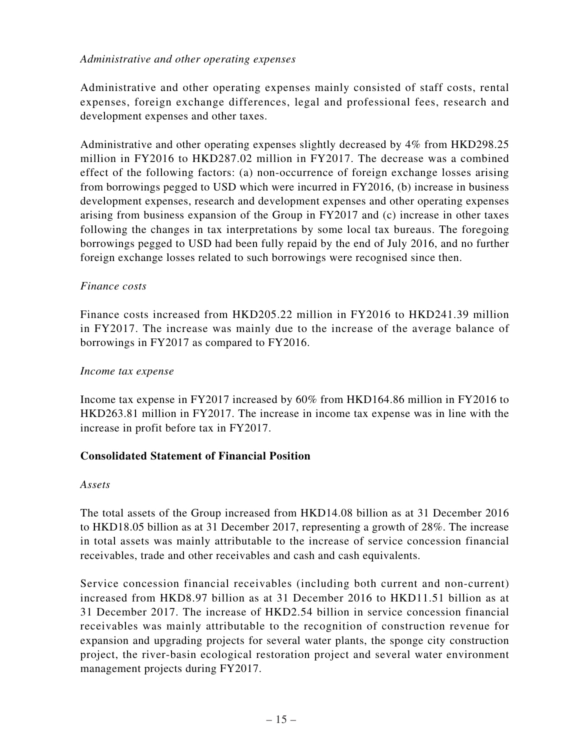## *Administrative and other operating expenses*

Administrative and other operating expenses mainly consisted of staff costs, rental expenses, foreign exchange differences, legal and professional fees, research and development expenses and other taxes.

Administrative and other operating expenses slightly decreased by 4% from HKD298.25 million in FY2016 to HKD287.02 million in FY2017. The decrease was a combined effect of the following factors: (a) non-occurrence of foreign exchange losses arising from borrowings pegged to USD which were incurred in FY2016, (b) increase in business development expenses, research and development expenses and other operating expenses arising from business expansion of the Group in FY2017 and (c) increase in other taxes following the changes in tax interpretations by some local tax bureaus. The foregoing borrowings pegged to USD had been fully repaid by the end of July 2016, and no further foreign exchange losses related to such borrowings were recognised since then.

## *Finance costs*

Finance costs increased from HKD205.22 million in FY2016 to HKD241.39 million in FY2017. The increase was mainly due to the increase of the average balance of borrowings in FY2017 as compared to FY2016.

## *Income tax expense*

Income tax expense in FY2017 increased by 60% from HKD164.86 million in FY2016 to HKD263.81 million in FY2017. The increase in income tax expense was in line with the increase in profit before tax in FY2017.

## **Consolidated Statement of Financial Position**

## *Assets*

The total assets of the Group increased from HKD14.08 billion as at 31 December 2016 to HKD18.05 billion as at 31 December 2017, representing a growth of 28%. The increase in total assets was mainly attributable to the increase of service concession financial receivables, trade and other receivables and cash and cash equivalents.

Service concession financial receivables (including both current and non-current) increased from HKD8.97 billion as at 31 December 2016 to HKD11.51 billion as at 31 December 2017. The increase of HKD2.54 billion in service concession financial receivables was mainly attributable to the recognition of construction revenue for expansion and upgrading projects for several water plants, the sponge city construction project, the river-basin ecological restoration project and several water environment management projects during FY2017.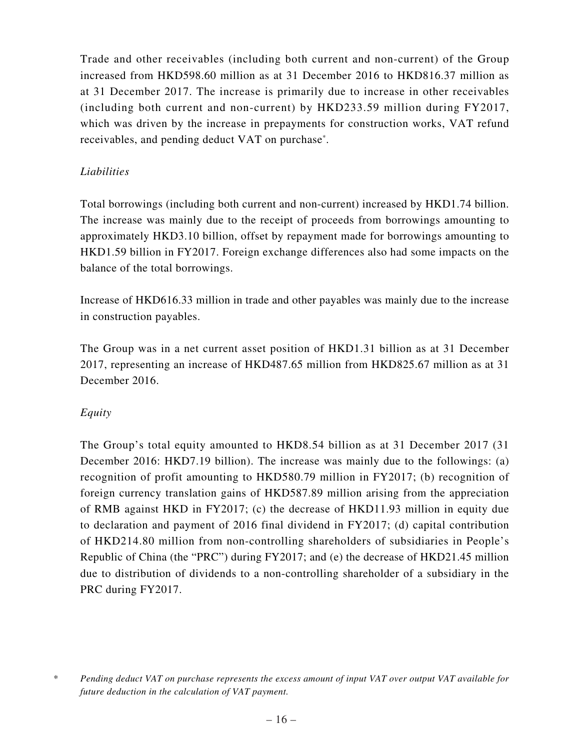Trade and other receivables (including both current and non-current) of the Group increased from HKD598.60 million as at 31 December 2016 to HKD816.37 million as at 31 December 2017. The increase is primarily due to increase in other receivables (including both current and non-current) by HKD233.59 million during FY2017, which was driven by the increase in prepayments for construction works, VAT refund receivables, and pending deduct VAT on purchase\* .

## *Liabilities*

Total borrowings (including both current and non-current) increased by HKD1.74 billion. The increase was mainly due to the receipt of proceeds from borrowings amounting to approximately HKD3.10 billion, offset by repayment made for borrowings amounting to HKD1.59 billion in FY2017. Foreign exchange differences also had some impacts on the balance of the total borrowings.

Increase of HKD616.33 million in trade and other payables was mainly due to the increase in construction payables.

The Group was in a net current asset position of HKD1.31 billion as at 31 December 2017, representing an increase of HKD487.65 million from HKD825.67 million as at 31 December 2016.

## *Equity*

The Group's total equity amounted to HKD8.54 billion as at 31 December 2017 (31 December 2016: HKD7.19 billion). The increase was mainly due to the followings: (a) recognition of profit amounting to HKD580.79 million in FY2017; (b) recognition of foreign currency translation gains of HKD587.89 million arising from the appreciation of RMB against HKD in FY2017; (c) the decrease of HKD11.93 million in equity due to declaration and payment of 2016 final dividend in FY2017; (d) capital contribution of HKD214.80 million from non-controlling shareholders of subsidiaries in People's Republic of China (the "PRC") during FY2017; and (e) the decrease of HKD21.45 million due to distribution of dividends to a non-controlling shareholder of a subsidiary in the PRC during FY2017.

<sup>\*</sup> *Pending deduct VAT on purchase represents the excess amount of input VAT over output VAT available for future deduction in the calculation of VAT payment.*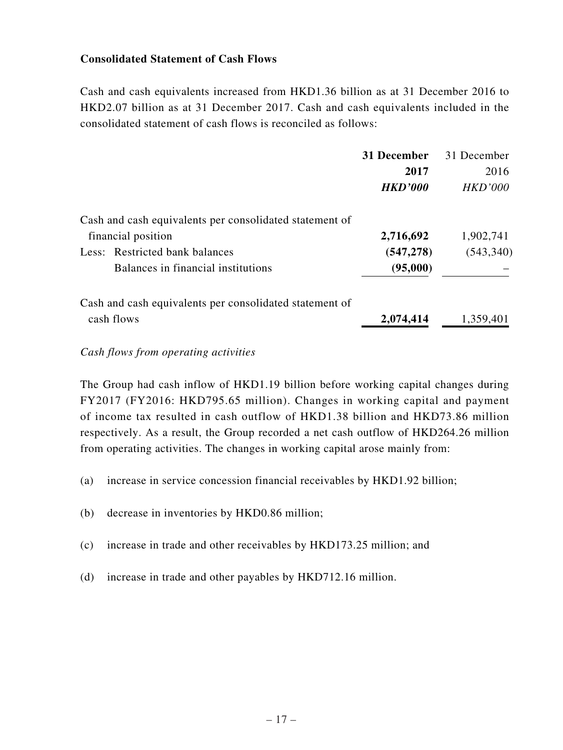## **Consolidated Statement of Cash Flows**

Cash and cash equivalents increased from HKD1.36 billion as at 31 December 2016 to HKD2.07 billion as at 31 December 2017. Cash and cash equivalents included in the consolidated statement of cash flows is reconciled as follows:

|                                                         | 31 December    | 31 December    |
|---------------------------------------------------------|----------------|----------------|
|                                                         | 2017           | 2016           |
|                                                         | <b>HKD'000</b> | <i>HKD'000</i> |
| Cash and cash equivalents per consolidated statement of |                |                |
| financial position                                      | 2,716,692      | 1,902,741      |
| Less: Restricted bank balances                          | (547, 278)     | (543, 340)     |
| Balances in financial institutions                      | (95,000)       |                |
| Cash and cash equivalents per consolidated statement of |                |                |
| cash flows                                              | 2,074,414      | 1,359,401      |

#### *Cash flows from operating activities*

The Group had cash inflow of HKD1.19 billion before working capital changes during FY2017 (FY2016: HKD795.65 million). Changes in working capital and payment of income tax resulted in cash outflow of HKD1.38 billion and HKD73.86 million respectively. As a result, the Group recorded a net cash outflow of HKD264.26 million from operating activities. The changes in working capital arose mainly from:

- (a) increase in service concession financial receivables by HKD1.92 billion;
- (b) decrease in inventories by HKD0.86 million;
- (c) increase in trade and other receivables by HKD173.25 million; and
- (d) increase in trade and other payables by HKD712.16 million.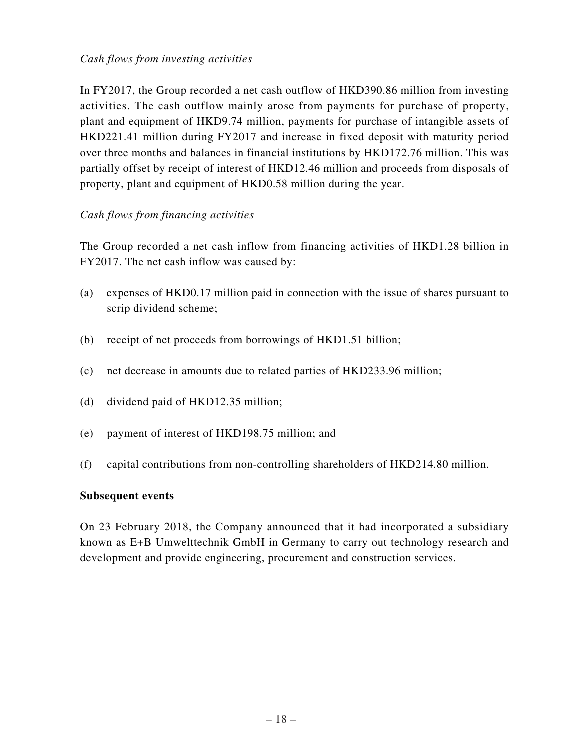## *Cash flows from investing activities*

In FY2017, the Group recorded a net cash outflow of HKD390.86 million from investing activities. The cash outflow mainly arose from payments for purchase of property, plant and equipment of HKD9.74 million, payments for purchase of intangible assets of HKD221.41 million during FY2017 and increase in fixed deposit with maturity period over three months and balances in financial institutions by HKD172.76 million. This was partially offset by receipt of interest of HKD12.46 million and proceeds from disposals of property, plant and equipment of HKD0.58 million during the year.

## *Cash flows from financing activities*

The Group recorded a net cash inflow from financing activities of HKD1.28 billion in FY2017. The net cash inflow was caused by:

- (a) expenses of HKD0.17 million paid in connection with the issue of shares pursuant to scrip dividend scheme;
- (b) receipt of net proceeds from borrowings of HKD1.51 billion;
- (c) net decrease in amounts due to related parties of HKD233.96 million;
- (d) dividend paid of HKD12.35 million;
- (e) payment of interest of HKD198.75 million; and
- (f) capital contributions from non-controlling shareholders of HKD214.80 million.

## **Subsequent events**

On 23 February 2018, the Company announced that it had incorporated a subsidiary known as E+B Umwelttechnik GmbH in Germany to carry out technology research and development and provide engineering, procurement and construction services.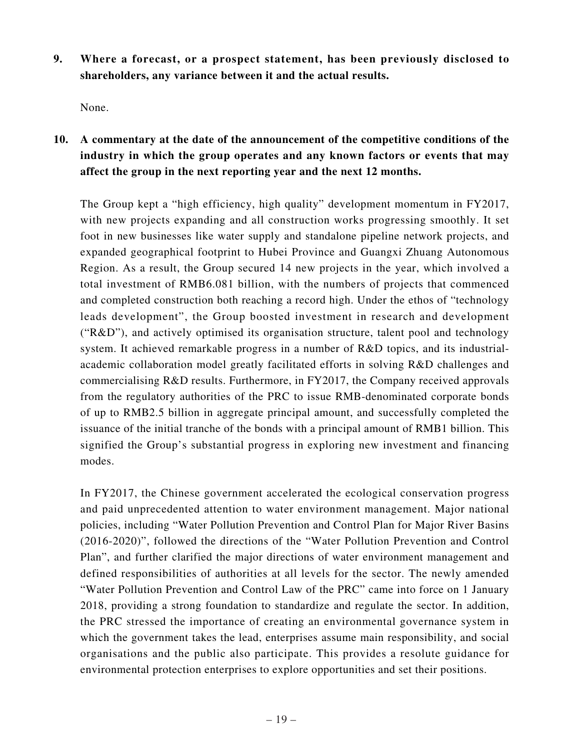**9. Where a forecast, or a prospect statement, has been previously disclosed to shareholders, any variance between it and the actual results.**

None.

**10. A commentary at the date of the announcement of the competitive conditions of the industry in which the group operates and any known factors or events that may affect the group in the next reporting year and the next 12 months.**

The Group kept a "high efficiency, high quality" development momentum in FY2017, with new projects expanding and all construction works progressing smoothly. It set foot in new businesses like water supply and standalone pipeline network projects, and expanded geographical footprint to Hubei Province and Guangxi Zhuang Autonomous Region. As a result, the Group secured 14 new projects in the year, which involved a total investment of RMB6.081 billion, with the numbers of projects that commenced and completed construction both reaching a record high. Under the ethos of "technology leads development", the Group boosted investment in research and development ("R&D"), and actively optimised its organisation structure, talent pool and technology system. It achieved remarkable progress in a number of R&D topics, and its industrialacademic collaboration model greatly facilitated efforts in solving R&D challenges and commercialising R&D results. Furthermore, in FY2017, the Company received approvals from the regulatory authorities of the PRC to issue RMB-denominated corporate bonds of up to RMB2.5 billion in aggregate principal amount, and successfully completed the issuance of the initial tranche of the bonds with a principal amount of RMB1 billion. This signified the Group's substantial progress in exploring new investment and financing modes.

In FY2017, the Chinese government accelerated the ecological conservation progress and paid unprecedented attention to water environment management. Major national policies, including "Water Pollution Prevention and Control Plan for Major River Basins (2016-2020)", followed the directions of the "Water Pollution Prevention and Control Plan", and further clarified the major directions of water environment management and defined responsibilities of authorities at all levels for the sector. The newly amended "Water Pollution Prevention and Control Law of the PRC" came into force on 1 January 2018, providing a strong foundation to standardize and regulate the sector. In addition, the PRC stressed the importance of creating an environmental governance system in which the government takes the lead, enterprises assume main responsibility, and social organisations and the public also participate. This provides a resolute guidance for environmental protection enterprises to explore opportunities and set their positions.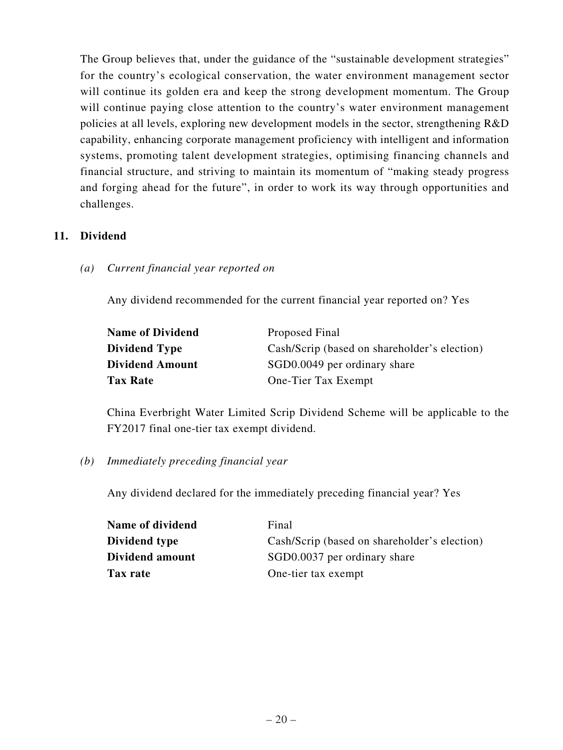The Group believes that, under the guidance of the "sustainable development strategies" for the country's ecological conservation, the water environment management sector will continue its golden era and keep the strong development momentum. The Group will continue paying close attention to the country's water environment management policies at all levels, exploring new development models in the sector, strengthening R&D capability, enhancing corporate management proficiency with intelligent and information systems, promoting talent development strategies, optimising financing channels and financial structure, and striving to maintain its momentum of "making steady progress and forging ahead for the future", in order to work its way through opportunities and challenges.

## **11. Dividend**

*(a) Current financial year reported on*

Any dividend recommended for the current financial year reported on? Yes

| <b>Name of Dividend</b> | Proposed Final                               |
|-------------------------|----------------------------------------------|
| <b>Dividend Type</b>    | Cash/Scrip (based on shareholder's election) |
| <b>Dividend Amount</b>  | SGD0.0049 per ordinary share                 |
| <b>Tax Rate</b>         | One-Tier Tax Exempt                          |

China Everbright Water Limited Scrip Dividend Scheme will be applicable to the FY2017 final one-tier tax exempt dividend.

*(b) Immediately preceding financial year*

Any dividend declared for the immediately preceding financial year? Yes

| Name of dividend | Final                                        |
|------------------|----------------------------------------------|
| Dividend type    | Cash/Scrip (based on shareholder's election) |
| Dividend amount  | SGD0.0037 per ordinary share                 |
| Tax rate         | One-tier tax exempt                          |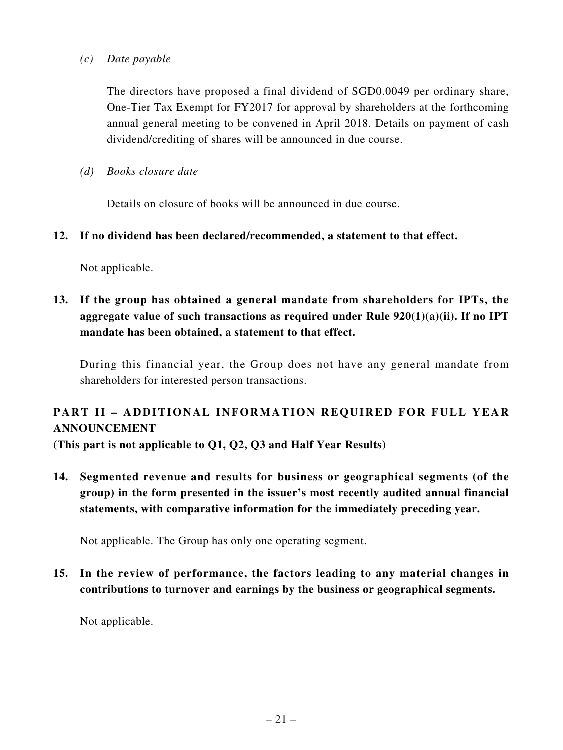## *(c) Date payable*

The directors have proposed a final dividend of SGD0.0049 per ordinary share, One-Tier Tax Exempt for FY2017 for approval by shareholders at the forthcoming annual general meeting to be convened in April 2018. Details on payment of cash dividend/crediting of shares will be announced in due course.

*(d) Books closure date*

Details on closure of books will be announced in due course.

## **12. If no dividend has been declared/recommended, a statement to that effect.**

Not applicable.

**13. If the group has obtained a general mandate from shareholders for IPTs, the aggregate value of such transactions as required under Rule 920(1)(a)(ii). If no IPT mandate has been obtained, a statement to that effect.**

During this financial year, the Group does not have any general mandate from shareholders for interested person transactions.

# **PART II – ADDITIONAL INFORMATION REQUIRED FOR FULL YEAR ANNOUNCEMENT**

**(This part is not applicable to Q1, Q2, Q3 and Half Year Results)**

**14. Segmented revenue and results for business or geographical segments (of the group) in the form presented in the issuer's most recently audited annual financial statements, with comparative information for the immediately preceding year.**

Not applicable. The Group has only one operating segment.

**15. In the review of performance, the factors leading to any material changes in contributions to turnover and earnings by the business or geographical segments.**

Not applicable.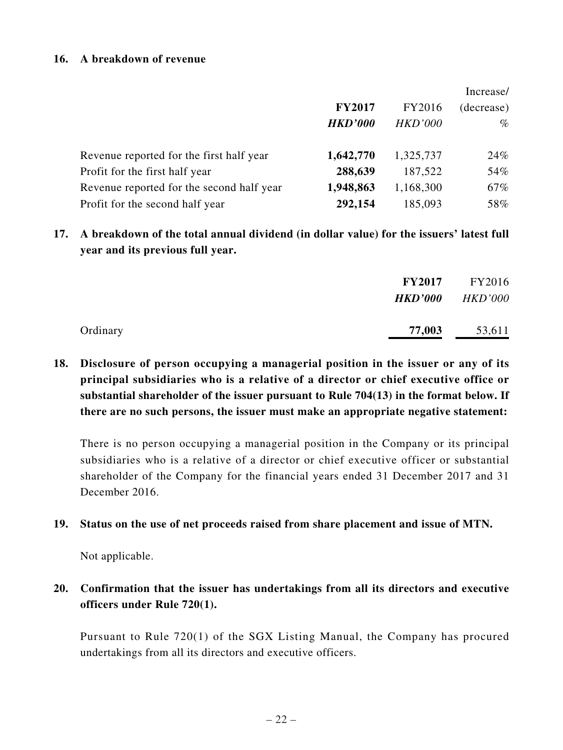#### **16. A breakdown of revenue**

|                                           |                |                | Increase/  |
|-------------------------------------------|----------------|----------------|------------|
|                                           | <b>FY2017</b>  | FY2016         | (decrease) |
|                                           | <b>HKD'000</b> | <b>HKD'000</b> | $\%$       |
| Revenue reported for the first half year  | 1,642,770      | 1,325,737      | 24%        |
| Profit for the first half year            | 288,639        | 187,522        | 54%        |
| Revenue reported for the second half year | 1,948,863      | 1,168,300      | 67%        |
| Profit for the second half year           | 292,154        | 185,093        | 58%        |

**17. A breakdown of the total annual dividend (in dollar value) for the issuers' latest full year and its previous full year.**

|          | <b>FY2017</b> | FY2016<br><b>HKD'000</b> HKD'000 |
|----------|---------------|----------------------------------|
| Ordinary | 77,003        | 53,611                           |

**18. Disclosure of person occupying a managerial position in the issuer or any of its principal subsidiaries who is a relative of a director or chief executive office or substantial shareholder of the issuer pursuant to Rule 704(13) in the format below. If there are no such persons, the issuer must make an appropriate negative statement:**

There is no person occupying a managerial position in the Company or its principal subsidiaries who is a relative of a director or chief executive officer or substantial shareholder of the Company for the financial years ended 31 December 2017 and 31 December 2016.

## **19. Status on the use of net proceeds raised from share placement and issue of MTN.**

Not applicable.

# **20. Confirmation that the issuer has undertakings from all its directors and executive officers under Rule 720(1).**

Pursuant to Rule 720(1) of the SGX Listing Manual, the Company has procured undertakings from all its directors and executive officers.